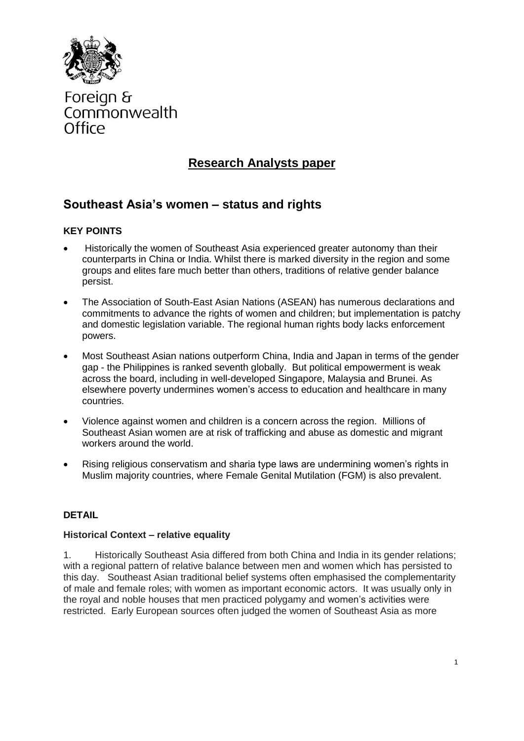

Foreign & Commonwealth Office

# **Research Analysts paper**

# **Southeast Asia's women – status and rights**

## **KEY POINTS**

- Historically the women of Southeast Asia experienced greater autonomy than their counterparts in China or India. Whilst there is marked diversity in the region and some groups and elites fare much better than others, traditions of relative gender balance persist.
- The Association of South-East Asian Nations (ASEAN) has numerous declarations and commitments to advance the rights of women and children; but implementation is patchy and domestic legislation variable. The regional human rights body lacks enforcement powers.
- Most Southeast Asian nations outperform China, India and Japan in terms of the gender gap - the Philippines is ranked seventh globally. But political empowerment is weak across the board, including in well-developed Singapore, Malaysia and Brunei. As elsewhere poverty undermines women's access to education and healthcare in many countries.
- Violence against women and children is a concern across the region. Millions of Southeast Asian women are at risk of trafficking and abuse as domestic and migrant workers around the world.
- Rising religious conservatism and sharia type laws are undermining women's rights in Muslim majority countries, where Female Genital Mutilation (FGM) is also prevalent.

### **DETAIL**

#### **Historical Context – relative equality**

1. Historically Southeast Asia differed from both China and India in its gender relations; with a regional pattern of relative balance between men and women which has persisted to this day. Southeast Asian traditional belief systems often emphasised the complementarity of male and female roles; with women as important economic actors. It was usually only in the royal and noble houses that men practiced polygamy and women's activities were restricted. Early European sources often judged the women of Southeast Asia as more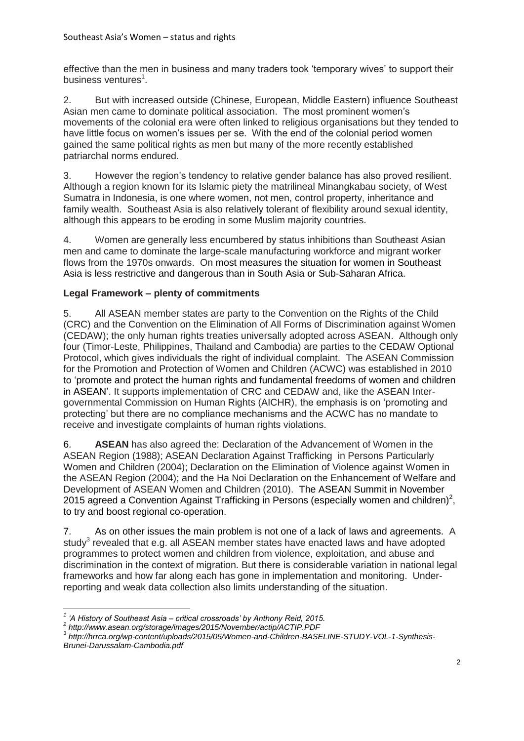effective than the men in business and many traders took 'temporary wives' to support their business ventures<sup>1</sup>.

2. But with increased outside (Chinese, European, Middle Eastern) influence Southeast Asian men came to dominate political association. The most prominent women's movements of the colonial era were often linked to religious organisations but they tended to have little focus on women's issues per se. With the end of the colonial period women gained the same political rights as men but many of the more recently established patriarchal norms endured.

3. However the region's tendency to relative gender balance has also proved resilient. Although a region known for its Islamic piety the matrilineal Minangkabau society, of West Sumatra in Indonesia, is one where women, not men, control property, inheritance and family wealth. Southeast Asia is also relatively tolerant of flexibility around sexual identity, although this appears to be eroding in some Muslim majority countries.

4. Women are generally less encumbered by status inhibitions than Southeast Asian men and came to dominate the large-scale manufacturing workforce and migrant worker flows from the 1970s onwards. On most measures the situation for women in Southeast Asia is less restrictive and dangerous than in South Asia or Sub-Saharan Africa.

## **Legal Framework – plenty of commitments**

5. All ASEAN member states are party to the Convention on the Rights of the Child (CRC) and the Convention on the Elimination of All Forms of Discrimination against Women (CEDAW); the only human rights treaties universally adopted across ASEAN. Although only four (Timor-Leste, Philippines, Thailand and Cambodia) are parties to the CEDAW Optional Protocol, which gives individuals the right of individual complaint. The ASEAN Commission for the Promotion and Protection of Women and Children (ACWC) was established in 2010 to 'promote and protect the human rights and fundamental freedoms of women and children in ASEAN'. It supports implementation of CRC and CEDAW and, like the ASEAN Intergovernmental Commission on Human Rights (AICHR), the emphasis is on 'promoting and protecting' but there are no compliance mechanisms and the ACWC has no mandate to receive and investigate complaints of human rights violations.

6. **ASEAN** has also agreed the: Declaration of the Advancement of Women in the ASEAN Region (1988); ASEAN Declaration Against Trafficking in Persons Particularly Women and Children (2004); Declaration on the Elimination of Violence against Women in the ASEAN Region (2004); and the Ha Noi Declaration on the Enhancement of Welfare and Development of ASEAN Women and Children (2010). The ASEAN Summit in November 2015 agreed a Convention Against Trafficking in Persons (especially women and children)<sup>2</sup>, to try and boost regional co-operation.

7. As on other issues the main problem is not one of a lack of laws and agreements. A study<sup>3</sup> revealed that e.g. all ASEAN member states have enacted laws and have adopted programmes to protect women and children from violence, exploitation, and abuse and discrimination in the context of migration. But there is considerable variation in national legal frameworks and how far along each has gone in implementation and monitoring. Underreporting and weak data collection also limits understanding of the situation.

 *1 'A History of Southeast Asia – critical crossroads' by Anthony Reid, 2015.*

*<sup>2</sup> http://www.asean.org/storage/images/2015/November/actip/ACTIP.PDF*

*<sup>3</sup> http://hrrca.org/wp-content/uploads/2015/05/Women-and-Children-BASELINE-STUDY-VOL-1-Synthesis-*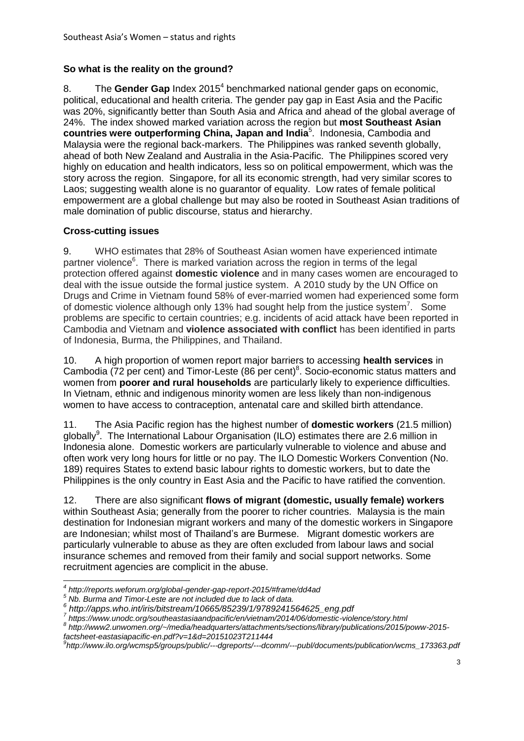### **So what is the reality on the ground?**

8. The Gender Gap Index 2015<sup>4</sup> benchmarked national gender gaps on economic, political, educational and health criteria. The gender pay gap in East Asia and the Pacific was 20%, significantly better than South Asia and Africa and ahead of the global average of 24%. The index showed marked variation across the region but **most Southeast Asian countries were outperforming China, Japan and India**<sup>5</sup> . Indonesia, Cambodia and Malaysia were the regional back-markers. The Philippines was ranked seventh globally, ahead of both New Zealand and Australia in the Asia-Pacific. The Philippines scored very highly on education and health indicators, less so on political empowerment, which was the story across the region. Singapore, for all its economic strength, had very similar scores to Laos; suggesting wealth alone is no guarantor of equality. Low rates of female political empowerment are a global challenge but may also be rooted in Southeast Asian traditions of male domination of public discourse, status and hierarchy.

### **Cross-cutting issues**

9. WHO estimates that 28% of Southeast Asian women have experienced intimate partner violence<sup>6</sup>. There is marked variation across the region in terms of the legal protection offered against **domestic violence** and in many cases women are encouraged to deal with the issue outside the formal justice system. A 2010 study by the UN Office on Drugs and Crime in Vietnam found 58% of ever-married women had experienced some form of domestic violence although only 13% had sought help from the justice system<sup>7</sup>. Some problems are specific to certain countries; e.g. incidents of acid attack have been reported in Cambodia and Vietnam and **violence associated with conflict** has been identified in parts of Indonesia, Burma, the Philippines, and Thailand.

10. A high proportion of women report major barriers to accessing **health services** in Cambodia (72 per cent) and Timor-Leste (86 per cent)<sup>8</sup>. Socio-economic status matters and women from **poorer and rural households** are particularly likely to experience difficulties. In Vietnam, ethnic and indigenous minority women are less likely than non-indigenous women to have access to contraception, antenatal care and skilled birth attendance.

11. The Asia Pacific region has the highest number of **domestic workers** (21.5 million) globally<sup>9</sup>. The International Labour Organisation (ILO) estimates there are 2.6 million in Indonesia alone. Domestic workers are particularly vulnerable to violence and abuse and often work very long hours for little or no pay. The ILO Domestic Workers Convention (No. 189) requires States to extend basic labour rights to domestic workers, but to date the Philippines is the only country in East Asia and the Pacific to have ratified the convention.

12. There are also significant **flows of migrant (domestic, usually female) workers** within Southeast Asia; generally from the poorer to richer countries. Malaysia is the main destination for Indonesian migrant workers and many of the domestic workers in Singapore are Indonesian; whilst most of Thailand's are Burmese. Migrant domestic workers are particularly vulnerable to abuse as they are often excluded from labour laws and social insurance schemes and removed from their family and social support networks. Some recruitment agencies are complicit in the abuse.

**<sup>.</sup>** *4 http://reports.weforum.org/global-gender-gap-report-2015/#frame/dd4ad*

*<sup>5</sup> Nb. Burma and Timor-Leste are not included due to lack of data.* 

*<sup>6</sup> http://apps.who.int/iris/bitstream/10665/85239/1/9789241564625\_eng.pdf 7*

*https://www.unodc.org/southeastasiaandpacific/en/vietnam/2014/06/domestic-violence/story.html*

*<sup>8</sup> http://www2.unwomen.org/~/media/headquarters/attachments/sections/library/publications/2015/poww-2015 factsheet-eastasiapacific-en.pdf?v=1&d=20151023T211444*

*<sup>9</sup> http://www.ilo.org/wcmsp5/groups/public/---dgreports/---dcomm/---publ/documents/publication/wcms\_173363.pdf*